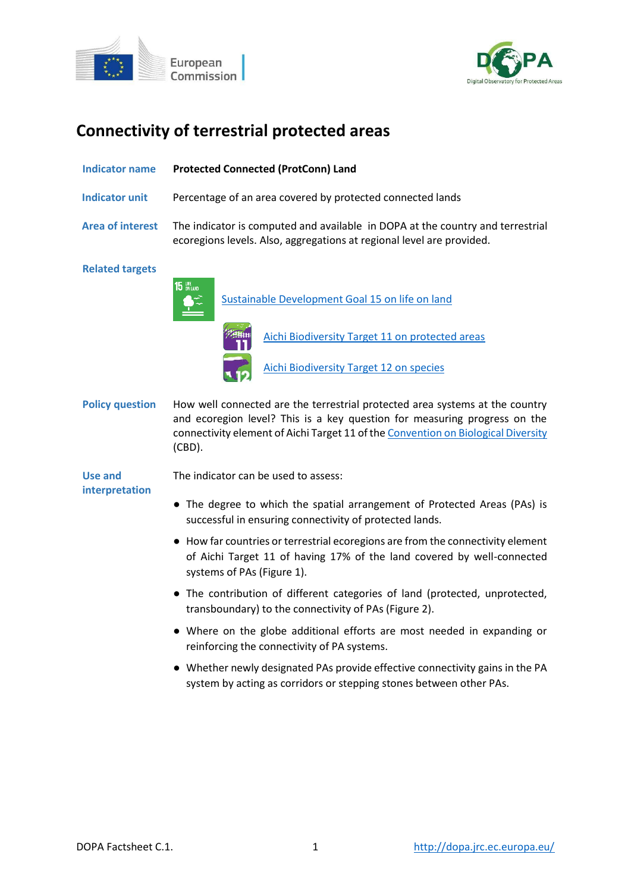



# **Connectivity of terrestrial protected areas**

| Indicator name          | <b>Protected Connected (ProtConn) Land</b>                                                                                                                                                                                                                  |
|-------------------------|-------------------------------------------------------------------------------------------------------------------------------------------------------------------------------------------------------------------------------------------------------------|
| <b>Indicator unit</b>   | Percentage of an area covered by protected connected lands                                                                                                                                                                                                  |
| <b>Area of interest</b> | The indicator is computed and available in DOPA at the country and terrestrial<br>ecoregions levels. Also, aggregations at regional level are provided.                                                                                                     |
| <b>Related targets</b>  |                                                                                                                                                                                                                                                             |
|                         | 15 UFE<br>Sustainable Development Goal 15 on life on land                                                                                                                                                                                                   |
|                         | <b>Aichi Biodiversity Target 11 on protected areas</b>                                                                                                                                                                                                      |
|                         | <b>Aichi Biodiversity Target 12 on species</b>                                                                                                                                                                                                              |
| <b>Policy question</b>  | How well connected are the terrestrial protected area systems at the country<br>and ecoregion level? This is a key question for measuring progress on the<br>connectivity element of Aichi Target 11 of the Convention on Biological Diversity<br>$(CBD)$ . |
| Use and                 | The indicator can be used to assess:                                                                                                                                                                                                                        |
| interpretation          | • The degree to which the spatial arrangement of Protected Areas (PAs) is<br>successful in ensuring connectivity of protected lands.                                                                                                                        |
|                         | • How far countries or terrestrial ecoregions are from the connectivity element<br>of Aichi Target 11 of having 17% of the land covered by well-connected<br>systems of PAs (Figure 1).                                                                     |
|                         | • The contribution of different categories of land (protected, unprotected,<br>transboundary) to the connectivity of PAs (Figure 2).                                                                                                                        |
|                         | • Where on the globe additional efforts are most needed in expanding or<br>reinforcing the connectivity of PA systems.                                                                                                                                      |
|                         | • Whether newly designated PAs provide effective connectivity gains in the PA<br>system by acting as corridors or stepping stones between other PAs.                                                                                                        |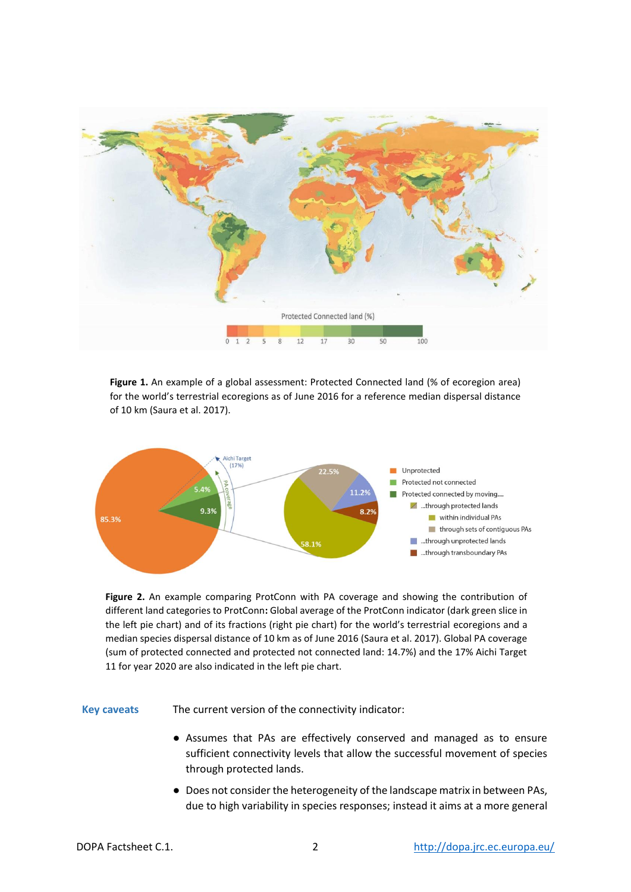

**Figure 1.** An example of a global assessment: Protected Connected land (% of ecoregion area) for the world's terrestrial ecoregions as of June 2016 for a reference median dispersal distance of 10 km (Saura et al. 2017).



**Figure 2.** An example comparing ProtConn with PA coverage and showing the contribution of different land categories to ProtConn**:** Global average of the ProtConn indicator (dark green slice in the left pie chart) and of its fractions (right pie chart) for the world's terrestrial ecoregions and a median species dispersal distance of 10 km as of June 2016 (Saura et al. 2017). Global PA coverage (sum of protected connected and protected not connected land: 14.7%) and the 17% Aichi Target 11 for year 2020 are also indicated in the left pie chart.

**Key caveats** The current version of the connectivity indicator:

- Assumes that PAs are effectively conserved and managed as to ensure sufficient connectivity levels that allow the successful movement of species through protected lands.
- Does not consider the heterogeneity of the landscape matrix in between PAs, due to high variability in species responses; instead it aims at a more general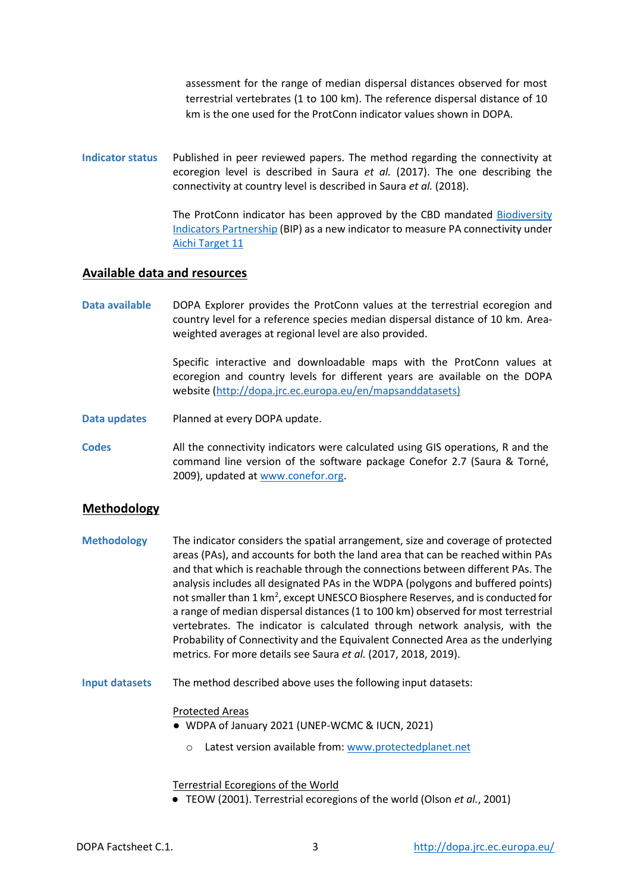assessment for the range of median dispersal distances observed for most terrestrial vertebrates (1 to 100 km). The reference dispersal distance of 10 km is the one used for the ProtConn indicator values shown in DOPA.

**Indicator status** Published in peer reviewed papers. The method regarding the connectivity at ecoregion level is described in Saura *et al.* (2017). The one describing the connectivity at country level is described in Saura *et al.* (2018).

> The ProtConn indicator has been approved by the CBD mandated [Biodiversity](http://www.bipindicators.net/)  [Indicators Partnership](http://www.bipindicators.net/) (BIP) as a new indicator to measure PA connectivity under [Aichi Target 11](http://www.cbd.int/sp/targets/rationale/target-11/)

# **Available data and resources**

**Data available** DOPA Explorer provides the ProtConn values at the terrestrial ecoregion and country level for a reference species median dispersal distance of 10 km. Areaweighted averages at regional level are also provided.

> Specific interactive and downloadable maps with the ProtConn values at ecoregion and country levels for different years are available on the DOPA website [\(http://dopa.jrc.ec.europa.eu/en/mapsanddatasets\)](http://dopa.jrc.ec.europa.eu/en/mapsanddatasets)

**Data updates** Planned at every DOPA update.

**Codes** All the connectivity indicators were calculated using GIS operations, R and the command line version of the software package Conefor 2.7 (Saura & Torné, 2009), updated at [www.conefor.org.](http://www.conefor.org/)

# **Methodology**

- **Methodology** The indicator considers the spatial arrangement, size and coverage of protected areas (PAs), and accounts for both the land area that can be reached within PAs and that which is reachable through the connections between different PAs. The analysis includes all designated PAs in the WDPA (polygons and buffered points) not smaller than 1 km<sup>2</sup>, except UNESCO Biosphere Reserves, and is conducted for a range of median dispersal distances (1 to 100 km) observed for most terrestrial vertebrates. The indicator is calculated through network analysis, with the Probability of Connectivity and the Equivalent Connected Area as the underlying metrics. For more details see Saura *et al.* (2017, 2018, 2019).
- **Input datasets** The method described above uses the following input datasets:

#### Protected Areas

- WDPA of January 2021 (UNEP-WCMC & IUCN, 2021)
	- o Latest version available from[: www.protectedplanet.net](http://www.protectedplanet.net/)

## Terrestrial Ecoregions of the World

● TEOW (2001). Terrestrial ecoregions of the world (Olson *et al.*, 2001)